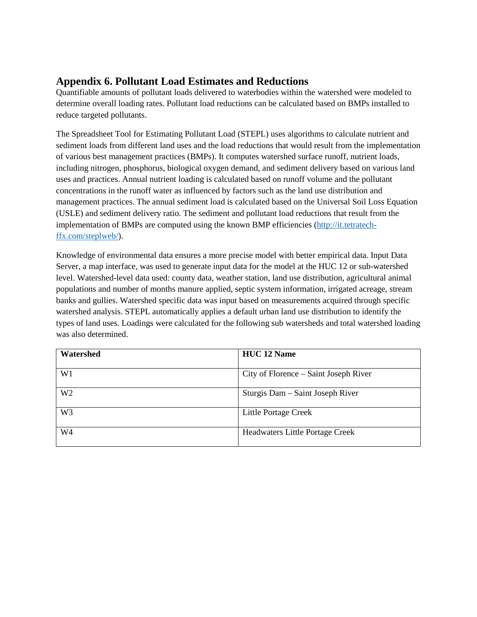## **Appendix 6. Pollutant Load Estimates and Reductions**

Quantifiable amounts of pollutant loads delivered to waterbodies within the watershed were modeled to determine overall loading rates. Pollutant load reductions can be calculated based on BMPs installed to reduce targeted pollutants.

The Spreadsheet Tool for Estimating Pollutant Load (STEPL) uses algorithms to calculate nutrient and sediment loads from different land uses and the load reductions that would result from the implementation of various best management practices (BMPs). It computes watershed surface runoff, nutrient loads, including nitrogen, phosphorus, biological oxygen demand, and sediment delivery based on various land uses and practices. Annual nutrient loading is calculated based on runoff volume and the pollutant concentrations in the runoff water as influenced by factors such as the land use distribution and management practices. The annual sediment load is calculated based on the Universal Soil Loss Equation (USLE) and sediment delivery ratio. The sediment and pollutant load reductions that result from the implementation of BMPs are computed using the known BMP efficiencies [\(http://it.tetratech](http://it.tetratech-ffx.com/steplweb/)[ffx.com/steplweb/\)](http://it.tetratech-ffx.com/steplweb/).

Knowledge of environmental data ensures a more precise model with better empirical data. Input Data Server, a map interface, was used to generate input data for the model at the HUC 12 or sub-watershed level. Watershed-level data used: county data, weather station, land use distribution, agricultural animal populations and number of months manure applied, septic system information, irrigated acreage, stream banks and gullies. Watershed specific data was input based on measurements acquired through specific watershed analysis. STEPL automatically applies a default urban land use distribution to identify the types of land uses. Loadings were calculated for the following sub watersheds and total watershed loading was also determined.

| Watershed      | <b>HUC 12 Name</b>                    |  |  |
|----------------|---------------------------------------|--|--|
| W <sub>1</sub> | City of Florence – Saint Joseph River |  |  |
| W <sub>2</sub> | Sturgis Dam - Saint Joseph River      |  |  |
| W <sub>3</sub> | Little Portage Creek                  |  |  |
| W <sub>4</sub> | Headwaters Little Portage Creek       |  |  |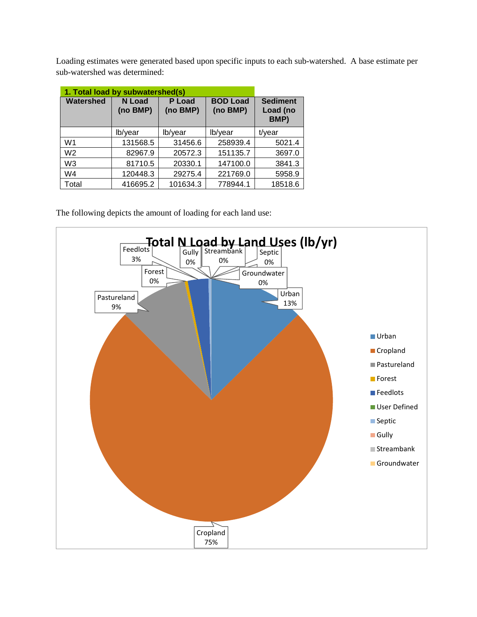Loading estimates were generated based upon specific inputs to each sub-watershed. A base estimate per sub-watershed was determined:

| 1. Total load by subwatershed(s) |                           |                    |                             |                                     |  |
|----------------------------------|---------------------------|--------------------|-----------------------------|-------------------------------------|--|
| Watershed                        | <b>N</b> Load<br>(no BMP) | P Load<br>(no BMP) | <b>BOD Load</b><br>(no BMP) | <b>Sediment</b><br>Load (no<br>BMP) |  |
|                                  | lb/year                   | lb/year            | lb/year                     | t/year                              |  |
| W <sub>1</sub>                   | 131568.5                  | 31456.6            | 258939.4                    | 5021.4                              |  |
| W <sub>2</sub>                   | 82967.9                   | 20572.3            | 151135.7                    | 3697.0                              |  |
| W <sub>3</sub>                   | 81710.5                   | 20330.1            | 147100.0                    | 3841.3                              |  |
| W4                               | 120448.3                  | 29275.4            | 221769.0                    | 5958.9                              |  |
| Total                            | 416695.2                  | 101634.3           | 778944.1                    | 18518.6                             |  |

The following depicts the amount of loading for each land use:

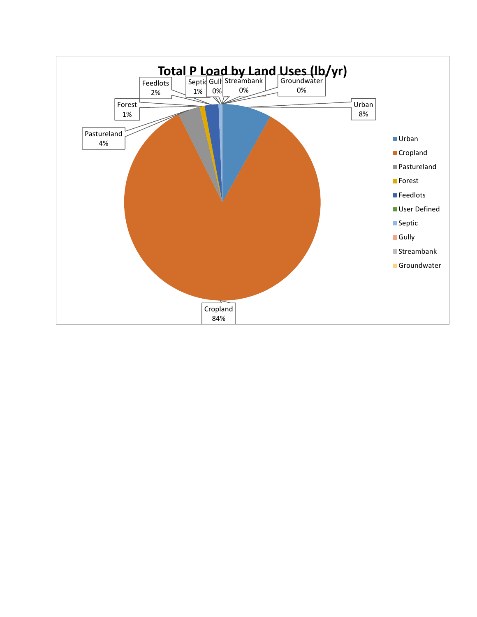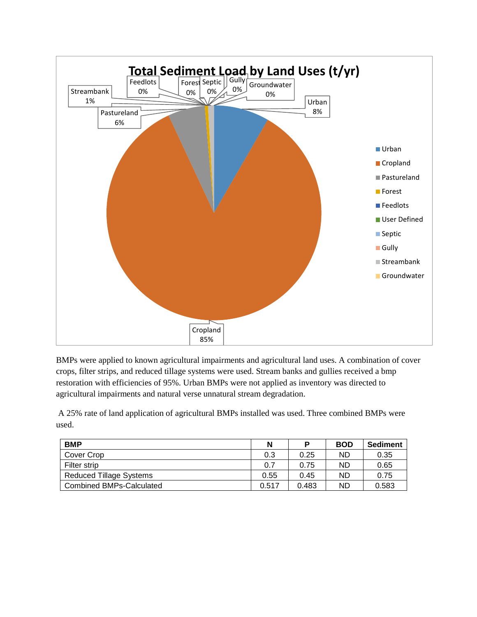

BMPs were applied to known agricultural impairments and agricultural land uses. A combination of cover crops, filter strips, and reduced tillage systems were used. Stream banks and gullies received a bmp restoration with efficiencies of 95%. Urban BMPs were not applied as inventory was directed to agricultural impairments and natural verse unnatural stream degradation.

A 25% rate of land application of agricultural BMPs installed was used. Three combined BMPs were used.

| <b>BMP</b>                      | N     | P     | <b>BOD</b> | <b>Sediment</b> |
|---------------------------------|-------|-------|------------|-----------------|
| Cover Crop                      | 0.3   | 0.25  | ND         | 0.35            |
| Filter strip                    | 0.7   | 0.75  | ND         | 0.65            |
| <b>Reduced Tillage Systems</b>  | 0.55  | 0.45  | ND         | 0.75            |
| <b>Combined BMPs-Calculated</b> | 0.517 | 0.483 | ND         | 0.583           |